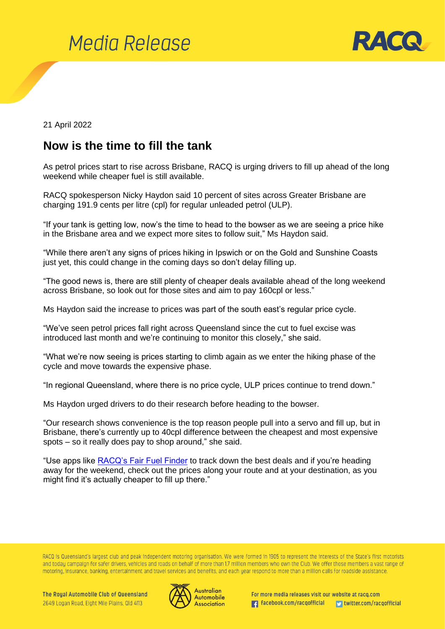



## 21 April 2022

## **Now is the time to fill the tank**

As petrol prices start to rise across Brisbane, RACQ is urging drivers to fill up ahead of the long weekend while cheaper fuel is still available.

RACQ spokesperson Nicky Haydon said 10 percent of sites across Greater Brisbane are charging 191.9 cents per litre (cpl) for regular unleaded petrol (ULP).

"If your tank is getting low, now's the time to head to the bowser as we are seeing a price hike in the Brisbane area and we expect more sites to follow suit," Ms Haydon said.

"While there aren't any signs of prices hiking in Ipswich or on the Gold and Sunshine Coasts just yet, this could change in the coming days so don't delay filling up.

"The good news is, there are still plenty of cheaper deals available ahead of the long weekend across Brisbane, so look out for those sites and aim to pay 160cpl or less."

Ms Haydon said the increase to prices was part of the south east's regular price cycle.

"We've seen petrol prices fall right across Queensland since the cut to fuel excise was introduced last month and we're continuing to monitor this closely," she said.

"What we're now seeing is prices starting to climb again as we enter the hiking phase of the cycle and move towards the expensive phase.

"In regional Queensland, where there is no price cycle, ULP prices continue to trend down."

Ms Haydon urged drivers to do their research before heading to the bowser.

"Our research shows convenience is the top reason people pull into a servo and fill up, but in Brisbane, there's currently up to 40cpl difference between the cheapest and most expensive spots – so it really does pay to shop around," she said.

"Use apps like **RACQ's Fair Fuel Finder** to track down the best deals and if you're heading away for the weekend, check out the prices along your route and at your destination, as you might find it's actually cheaper to fill up there."

RACQ is Queensland's largest club and peak independent motoring organisation. We were formed in 1905 to represent the interests of the State's first motorists and today campaign for safer drivers, vehicles and roads on behalf of more than 1.7 million members who own the Club. We offer those members a vast range of motoring, insurance, banking, entertainment and travel services and benefits, and each year respond to more than a million calls for roadside assistance.